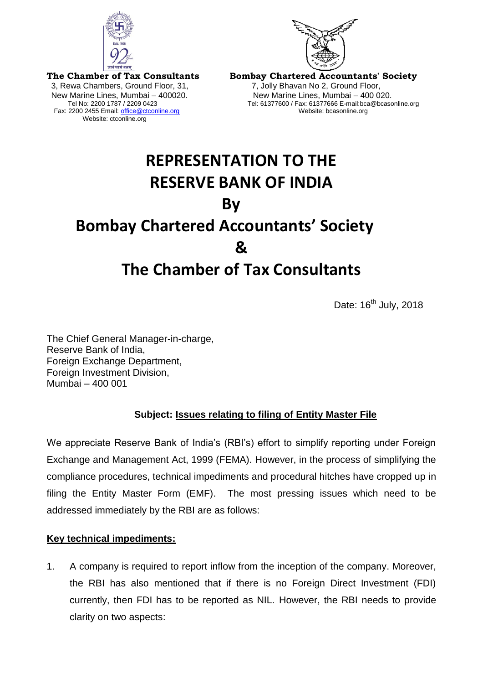



**The Chamber of Tax Consultants** 3, Rewa Chambers, Ground Floor, 31, 7, Jolly Bhavan No 2, Ground Floor, Fax: 2200 2455 Email: office@ctconline.org Website: ctconline.org

**Bombay Chartered Accountants' Society**  New Marine Lines, Mumbai – 400020. New Marine Lines, Mumbai – 400 020. Tel: 61377600 / Fax: 61377666 E-mail:bca@bcasonline.org<br>Website: bcasonline.org

## **REPRESENTATION TO THE RESERVE BANK OF INDIA By Bombay Chartered Accountants' Society & The Chamber of Tax Consultants**

Date: 16<sup>th</sup> July, 2018

The Chief General Manager-in-charge, Reserve Bank of India, Foreign Exchange Department, Foreign Investment Division, Mumbai – 400 001

## **Subject: Issues relating to filing of Entity Master File**

We appreciate Reserve Bank of India's (RBI's) effort to simplify reporting under Foreign Exchange and Management Act, 1999 (FEMA). However, in the process of simplifying the compliance procedures, technical impediments and procedural hitches have cropped up in filing the Entity Master Form (EMF). The most pressing issues which need to be addressed immediately by the RBI are as follows:

## **Key technical impediments:**

1. A company is required to report inflow from the inception of the company. Moreover, the RBI has also mentioned that if there is no Foreign Direct Investment (FDI) currently, then FDI has to be reported as NIL. However, the RBI needs to provide clarity on two aspects: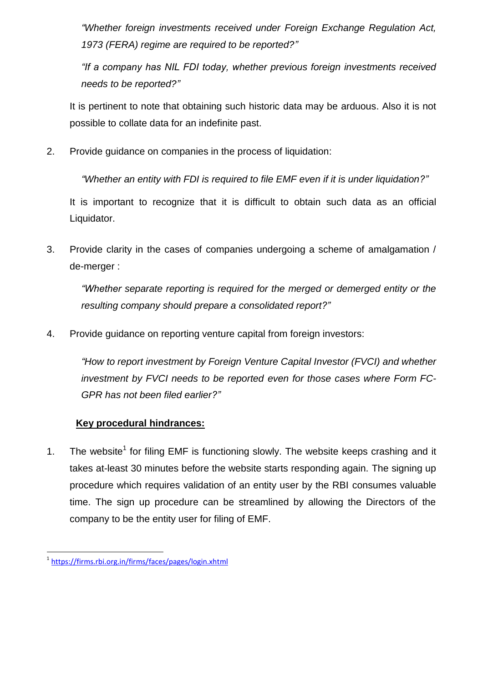*"Whether foreign investments received under Foreign Exchange Regulation Act, 1973 (FERA) regime are required to be reported?"*

*"If a company has NIL FDI today, whether previous foreign investments received needs to be reported?"*

It is pertinent to note that obtaining such historic data may be arduous. Also it is not possible to collate data for an indefinite past.

2. Provide guidance on companies in the process of liquidation:

*"Whether an entity with FDI is required to file EMF even if it is under liquidation?"*

It is important to recognize that it is difficult to obtain such data as an official Liquidator.

3. Provide clarity in the cases of companies undergoing a scheme of amalgamation / de-merger :

*"Whether separate reporting is required for the merged or demerged entity or the resulting company should prepare a consolidated report?"*

4. Provide guidance on reporting venture capital from foreign investors:

*"How to report investment by Foreign Venture Capital Investor (FVCI) and whether investment by FVCI needs to be reported even for those cases where Form FC-GPR has not been filed earlier?"*

## **Key procedural hindrances:**

1. The website<sup>1</sup> for filing EMF is functioning slowly. The website keeps crashing and it takes at-least 30 minutes before the website starts responding again. The signing up procedure which requires validation of an entity user by the RBI consumes valuable time. The sign up procedure can be streamlined by allowing the Directors of the company to be the entity user for filing of EMF.

<sup>&</sup>lt;u>.</u><br><https://firms.rbi.org.in/firms/faces/pages/login.xhtml>?<sup>1</sup>